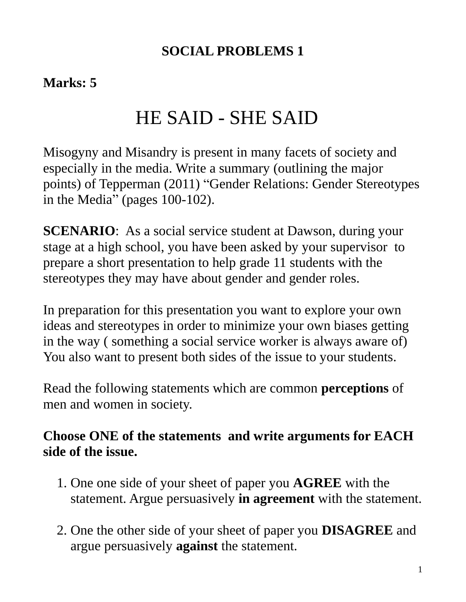### **SOCIAL PROBLEMS 1**

### **Marks: 5**

# HE SAID - SHE SAID

Misogyny and Misandry is present in many facets of society and especially in the media. Write a summary (outlining the major points) of Tepperman (2011) "Gender Relations: Gender Stereotypes in the Media" (pages 100-102).

**SCENARIO:** As a social service student at Dawson, during your stage at a high school, you have been asked by your supervisor to prepare a short presentation to help grade 11 students with the stereotypes they may have about gender and gender roles.

In preparation for this presentation you want to explore your own ideas and stereotypes in order to minimize your own biases getting in the way ( something a social service worker is always aware of) You also want to present both sides of the issue to your students.

Read the following statements which are common **perceptions** of men and women in society.

### **Choose ONE of the statements and write arguments for EACH side of the issue.**

- 1. One one side of your sheet of paper you **AGREE** with the statement. Argue persuasively **in agreement** with the statement.
- 2. One the other side of your sheet of paper you **DISAGREE** and argue persuasively **against** the statement.